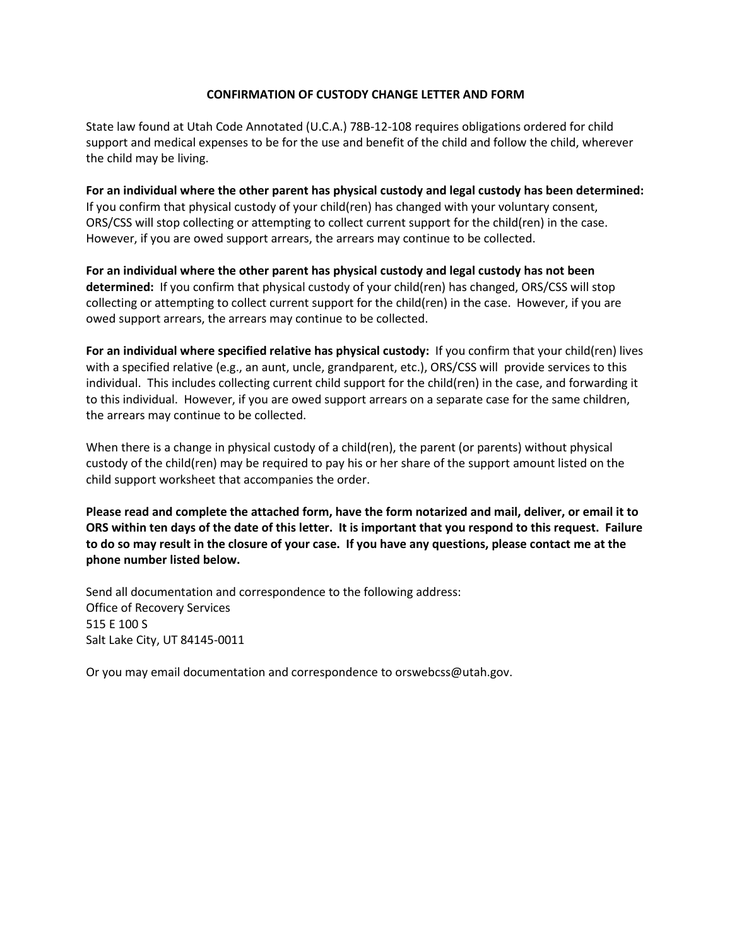## **CONFIRMATION OF CUSTODY CHANGE LETTER AND FORM**

State law found at Utah Code Annotated (U.C.A.) 78B-12-108 requires obligations ordered for child support and medical expenses to be for the use and benefit of the child and follow the child, wherever the child may be living.

**For an individual where the other parent has physical custody and legal custody has been determined:** If you confirm that physical custody of your child(ren) has changed with your voluntary consent, ORS/CSS will stop collecting or attempting to collect current support for the child(ren) in the case. However, if you are owed support arrears, the arrears may continue to be collected.

**For an individual where the other parent has physical custody and legal custody has not been determined:** If you confirm that physical custody of your child(ren) has changed, ORS/CSS will stop collecting or attempting to collect current support for the child(ren) in the case. However, if you are owed support arrears, the arrears may continue to be collected.

**For an individual where specified relative has physical custody:** If you confirm that your child(ren) lives with a specified relative (e.g., an aunt, uncle, grandparent, etc.), ORS/CSS will provide services to this individual. This includes collecting current child support for the child(ren) in the case, and forwarding it to this individual. However, if you are owed support arrears on a separate case for the same children, the arrears may continue to be collected.

When there is a change in physical custody of a child(ren), the parent (or parents) without physical custody of the child(ren) may be required to pay his or her share of the support amount listed on the child support worksheet that accompanies the order.

**Please read and complete the attached form, have the form notarized and mail, deliver, or email it to ORS within ten days of the date of this letter. It is important that you respond to this request. Failure to do so may result in the closure of your case. If you have any questions, please contact me at the phone number listed below.**

Send all documentation and correspondence to the following address: Office of Recovery Services 515 E 100 S Salt Lake City, UT 84145-0011

Or you may email documentation and correspondence to orswebcss@utah.gov.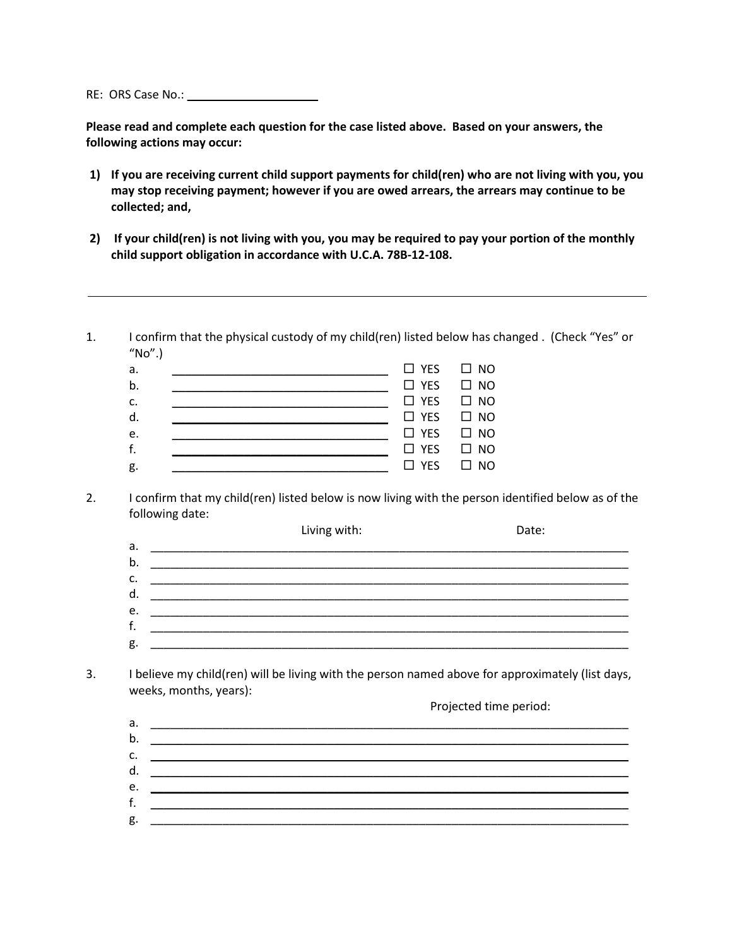RE: ORS Case No.: \_\_\_\_\_\_\_\_\_\_\_\_\_\_\_\_\_\_\_\_

**Please read and complete each question for the case listed above. Based on your answers, the following actions may occur:**

- **1) If you are receiving current child support payments for child(ren) who are not living with you, you may stop receiving payment; however if you are owed arrears, the arrears may continue to be collected; and,**
- **2) If your child(ren) is not living with you, you may be required to pay your portion of the monthly child support obligation in accordance with U.C.A. 78B-12-108.**
- 1. I confirm that the physical custody of my child(ren) listed below has changed . (Check "Yes" or  $"No".$

| a.             |  | $\Box$ YES $\Box$ NO |
|----------------|--|----------------------|
| $\mathsf{b}$ . |  | $\Box$ YES $\Box$ NO |
| c.             |  | $\Box$ YES $\Box$ NO |
| d.             |  | $\Box$ YES $\Box$ NO |
| e.             |  | $\Box$ YES $\Box$ NO |
| f.             |  | $\Box$ YES $\Box$ NO |
| g.             |  | $\Box$ YES $\Box$ NO |

2. I confirm that my child(ren) listed below is now living with the person identified below as of the following date:

|    | Living with: | Date: |
|----|--------------|-------|
| a. |              |       |
| b. |              |       |
| c. |              |       |
| d. |              |       |
| e. |              |       |
| f. |              |       |
| g. |              |       |
|    |              |       |

3. I believe my child(ren) will be living with the person named above for approximately (list days, weeks, months, years):

- Projected time period: a. \_\_\_\_\_\_\_\_\_\_\_\_\_\_\_\_\_\_\_\_\_\_\_\_\_\_\_\_\_\_\_\_\_\_\_\_\_\_\_\_\_\_\_\_\_\_\_\_\_\_\_\_\_\_\_\_\_\_\_\_\_\_\_\_\_\_\_\_\_\_\_\_\_ b. \_\_\_\_\_\_\_\_\_\_\_\_\_\_\_\_\_\_\_\_\_\_\_\_\_\_\_\_\_\_\_\_\_\_\_\_\_\_\_\_\_\_\_\_\_\_\_\_\_\_\_\_\_\_\_\_\_\_\_\_\_\_\_\_\_\_\_\_\_\_\_\_\_  $c.$   $\qquad \qquad \qquad \qquad$
- d.  $e.$   $\Box$ f.  $\blacksquare$  $g.$